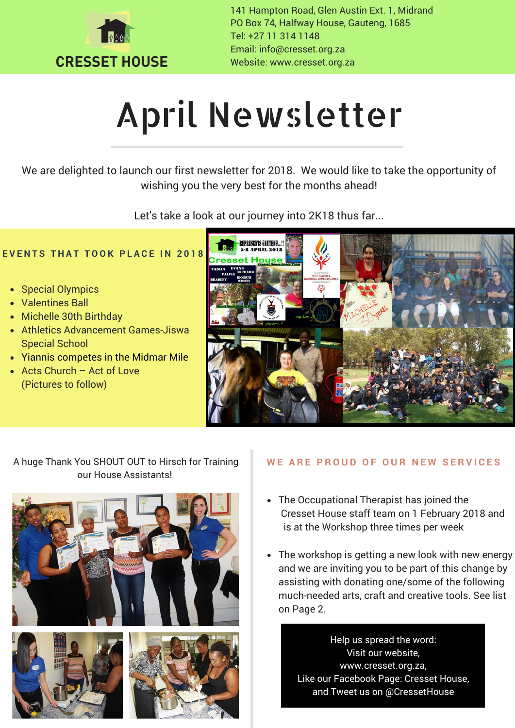

141 Hampton Road, Glen Austin Ext. 1, Midrand PO Box 74, Halfway House, Gauteng, 1685 Tel: +27 11 314 1148 Email: info@cresset.org.za Website: www.cresset.org.za

# April Newsletter

We are delighted to launch our first newsletter for 2018. We would like to take the opportunity of wishing you the very best for the months ahead!

Let's take a look at our journey into 2K18 thus far...

### **E V E N T S T H A T T O O K P L A C E I N 2 0 1 8**

- Special Olympics
- Valentines Ball
- Michelle 30th Birthday
- Athletics Advancement Games-Jiswa Special School
- Yiannis competes in the Midmar Mile
- Acts Church Act of Love (Pictures to follow)



## A huge Thank You SHOUT OUT to Hirsch for Training our House Assistants!



### WE ARE PROUD OF OUR NEW SERVICES

- The Occupational Therapist has joined the Cresset House staff team on 1 February 2018 and is at the Workshop three times per week
- The workshop is getting a new look with new energy and we are inviting you to be part of this change by assisting with donating one/some of the following much-needed arts, craft and creative tools. See list on Page 2.

Help us spread the word: Visit our website, www.cresset.org.za, Like our Facebook Page: Cresset House, and Tweet us on @CressetHouse